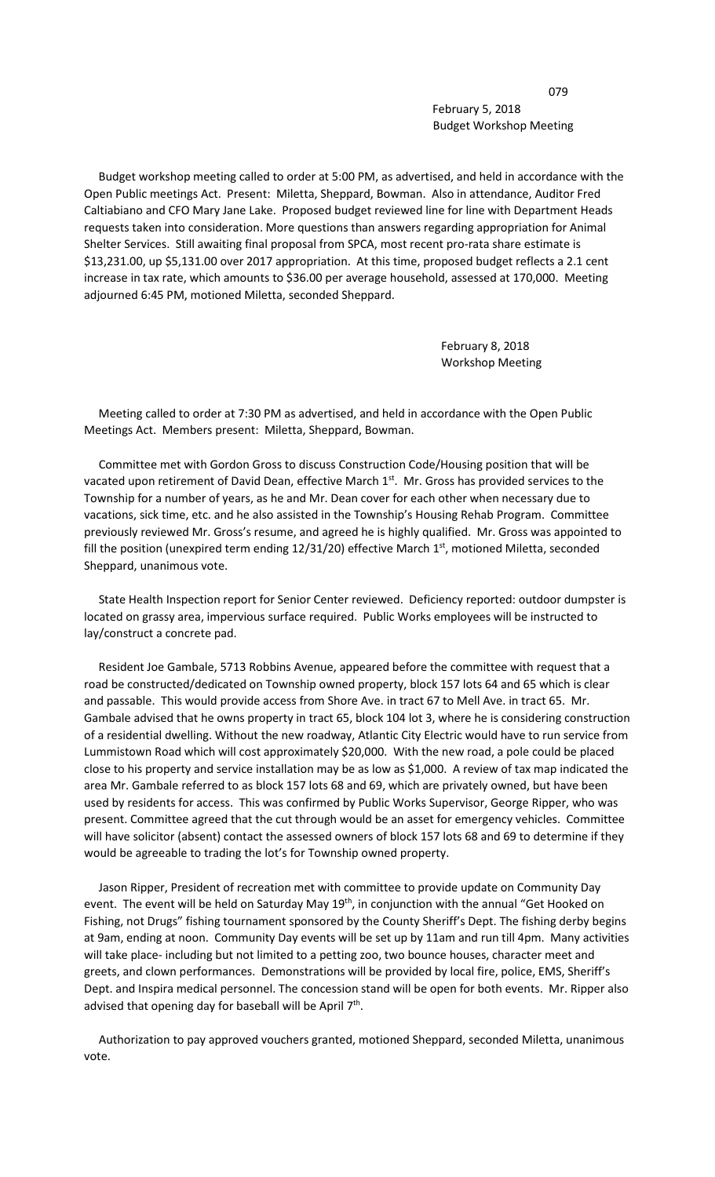079 February 5, 2018 Budget Workshop Meeting

 Budget workshop meeting called to order at 5:00 PM, as advertised, and held in accordance with the Open Public meetings Act. Present: Miletta, Sheppard, Bowman. Also in attendance, Auditor Fred Caltiabiano and CFO Mary Jane Lake. Proposed budget reviewed line for line with Department Heads requests taken into consideration. More questions than answers regarding appropriation for Animal Shelter Services. Still awaiting final proposal from SPCA, most recent pro-rata share estimate is \$13,231.00, up \$5,131.00 over 2017 appropriation. At this time, proposed budget reflects a 2.1 cent increase in tax rate, which amounts to \$36.00 per average household, assessed at 170,000. Meeting adjourned 6:45 PM, motioned Miletta, seconded Sheppard.

> February 8, 2018 Workshop Meeting

 Meeting called to order at 7:30 PM as advertised, and held in accordance with the Open Public Meetings Act. Members present: Miletta, Sheppard, Bowman.

 Committee met with Gordon Gross to discuss Construction Code/Housing position that will be vacated upon retirement of David Dean, effective March  $1<sup>st</sup>$ . Mr. Gross has provided services to the Township for a number of years, as he and Mr. Dean cover for each other when necessary due to vacations, sick time, etc. and he also assisted in the Township's Housing Rehab Program. Committee previously reviewed Mr. Gross's resume, and agreed he is highly qualified. Mr. Gross was appointed to fill the position (unexpired term ending  $12/31/20$ ) effective March  $1<sup>st</sup>$ , motioned Miletta, seconded Sheppard, unanimous vote.

 State Health Inspection report for Senior Center reviewed. Deficiency reported: outdoor dumpster is located on grassy area, impervious surface required. Public Works employees will be instructed to lay/construct a concrete pad.

 Resident Joe Gambale, 5713 Robbins Avenue, appeared before the committee with request that a road be constructed/dedicated on Township owned property, block 157 lots 64 and 65 which is clear and passable. This would provide access from Shore Ave. in tract 67 to Mell Ave. in tract 65. Mr. Gambale advised that he owns property in tract 65, block 104 lot 3, where he is considering construction of a residential dwelling. Without the new roadway, Atlantic City Electric would have to run service from Lummistown Road which will cost approximately \$20,000. With the new road, a pole could be placed close to his property and service installation may be as low as \$1,000. A review of tax map indicated the area Mr. Gambale referred to as block 157 lots 68 and 69, which are privately owned, but have been used by residents for access. This was confirmed by Public Works Supervisor, George Ripper, who was present. Committee agreed that the cut through would be an asset for emergency vehicles. Committee will have solicitor (absent) contact the assessed owners of block 157 lots 68 and 69 to determine if they would be agreeable to trading the lot's for Township owned property.

 Jason Ripper, President of recreation met with committee to provide update on Community Day event. The event will be held on Saturday May 19<sup>th</sup>, in conjunction with the annual "Get Hooked on Fishing, not Drugs" fishing tournament sponsored by the County Sheriff's Dept. The fishing derby begins at 9am, ending at noon. Community Day events will be set up by 11am and run till 4pm. Many activities will take place- including but not limited to a petting zoo, two bounce houses, character meet and greets, and clown performances. Demonstrations will be provided by local fire, police, EMS, Sheriff's Dept. and Inspira medical personnel. The concession stand will be open for both events. Mr. Ripper also advised that opening day for baseball will be April  $7<sup>th</sup>$ .

 Authorization to pay approved vouchers granted, motioned Sheppard, seconded Miletta, unanimous vote.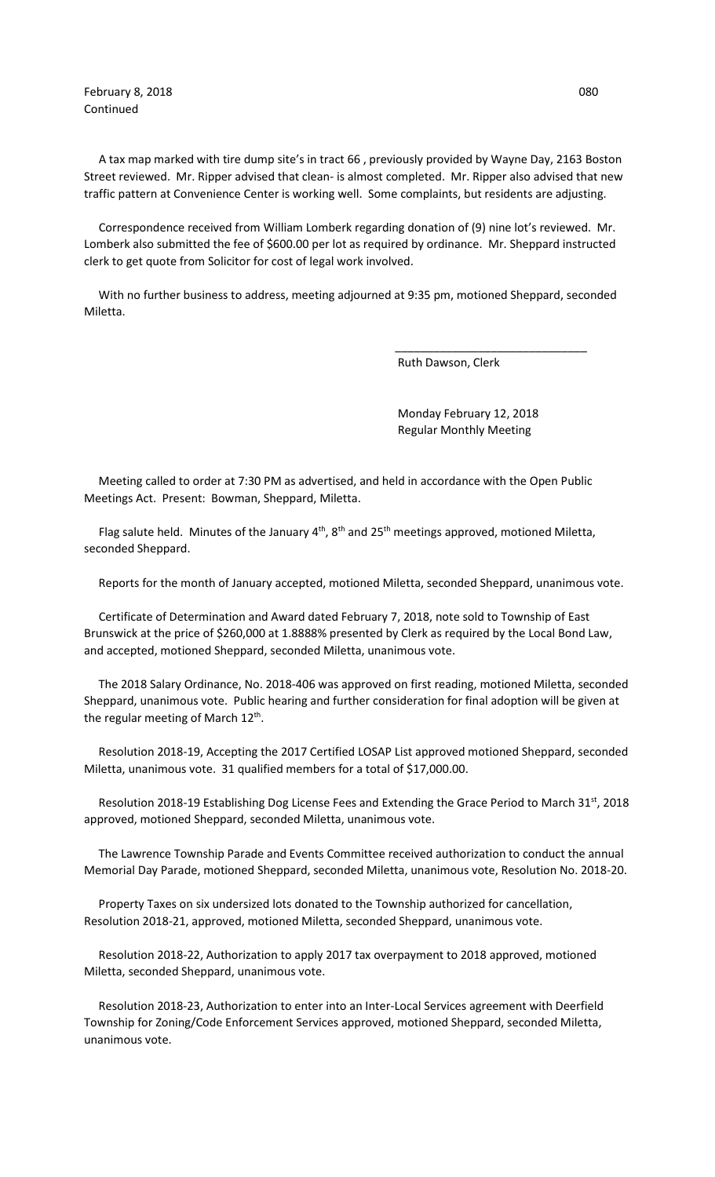February 8, 2018 **Details** 1880 **CONTEX 1880 CONTEX 1880 O80** Continued

 A tax map marked with tire dump site's in tract 66 , previously provided by Wayne Day, 2163 Boston Street reviewed. Mr. Ripper advised that clean- is almost completed. Mr. Ripper also advised that new traffic pattern at Convenience Center is working well. Some complaints, but residents are adjusting.

 Correspondence received from William Lomberk regarding donation of (9) nine lot's reviewed. Mr. Lomberk also submitted the fee of \$600.00 per lot as required by ordinance. Mr. Sheppard instructed clerk to get quote from Solicitor for cost of legal work involved.

 With no further business to address, meeting adjourned at 9:35 pm, motioned Sheppard, seconded Miletta.

 $\frac{1}{\sqrt{2\pi}}$  , which is the contract of the contract of the contract of the contract of the contract of the contract of the contract of the contract of the contract of the contract of the contract of the contract of the

Ruth Dawson, Clerk

 Monday February 12, 2018 Regular Monthly Meeting

 Meeting called to order at 7:30 PM as advertised, and held in accordance with the Open Public Meetings Act. Present: Bowman, Sheppard, Miletta.

Flag salute held. Minutes of the January  $4<sup>th</sup>$ ,  $8<sup>th</sup>$  and  $25<sup>th</sup>$  meetings approved, motioned Miletta, seconded Sheppard.

Reports for the month of January accepted, motioned Miletta, seconded Sheppard, unanimous vote.

 Certificate of Determination and Award dated February 7, 2018, note sold to Township of East Brunswick at the price of \$260,000 at 1.8888% presented by Clerk as required by the Local Bond Law, and accepted, motioned Sheppard, seconded Miletta, unanimous vote.

 The 2018 Salary Ordinance, No. 2018-406 was approved on first reading, motioned Miletta, seconded Sheppard, unanimous vote. Public hearing and further consideration for final adoption will be given at the regular meeting of March  $12<sup>th</sup>$ .

 Resolution 2018-19, Accepting the 2017 Certified LOSAP List approved motioned Sheppard, seconded Miletta, unanimous vote. 31 qualified members for a total of \$17,000.00.

Resolution 2018-19 Establishing Dog License Fees and Extending the Grace Period to March 31<sup>st</sup>, 2018 approved, motioned Sheppard, seconded Miletta, unanimous vote.

 The Lawrence Township Parade and Events Committee received authorization to conduct the annual Memorial Day Parade, motioned Sheppard, seconded Miletta, unanimous vote, Resolution No. 2018-20.

 Property Taxes on six undersized lots donated to the Township authorized for cancellation, Resolution 2018-21, approved, motioned Miletta, seconded Sheppard, unanimous vote.

 Resolution 2018-22, Authorization to apply 2017 tax overpayment to 2018 approved, motioned Miletta, seconded Sheppard, unanimous vote.

 Resolution 2018-23, Authorization to enter into an Inter-Local Services agreement with Deerfield Township for Zoning/Code Enforcement Services approved, motioned Sheppard, seconded Miletta, unanimous vote.